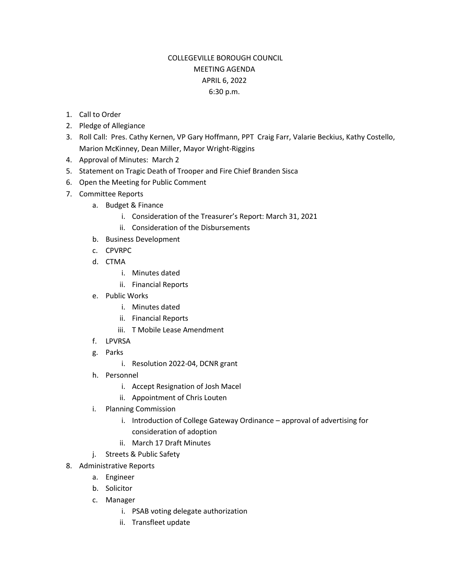## COLLEGEVILLE BOROUGH COUNCIL MEETING AGENDA APRIL 6, 2022 6:30 p.m.

- 1. Call to Order
- 2. Pledge of Allegiance
- 3. Roll Call: Pres. Cathy Kernen, VP Gary Hoffmann, PPT Craig Farr, Valarie Beckius, Kathy Costello, Marion McKinney, Dean Miller, Mayor Wright-Riggins
- 4. Approval of Minutes: March 2
- 5. Statement on Tragic Death of Trooper and Fire Chief Branden Sisca
- 6. Open the Meeting for Public Comment
- 7. Committee Reports
	- a. Budget & Finance
		- i. Consideration of the Treasurer's Report: March 31, 2021
		- ii. Consideration of the Disbursements
	- b. Business Development
	- c. CPVRPC
	- d. CTMA
		- i. Minutes dated
		- ii. Financial Reports
	- e. Public Works
		- i. Minutes dated
		- ii. Financial Reports
		- iii. T Mobile Lease Amendment
	- f. LPVRSA
	- g. Parks
		- i. Resolution 2022-04, DCNR grant
	- h. Personnel
		- i. Accept Resignation of Josh Macel
		- ii. Appointment of Chris Louten
	- i. Planning Commission
		- i. Introduction of College Gateway Ordinance approval of advertising for consideration of adoption
		- ii. March 17 Draft Minutes
	- j. Streets & Public Safety
- 8. Administrative Reports
	- a. Engineer
	- b. Solicitor
	- c. Manager
		- i. PSAB voting delegate authorization
		- ii. Transfleet update